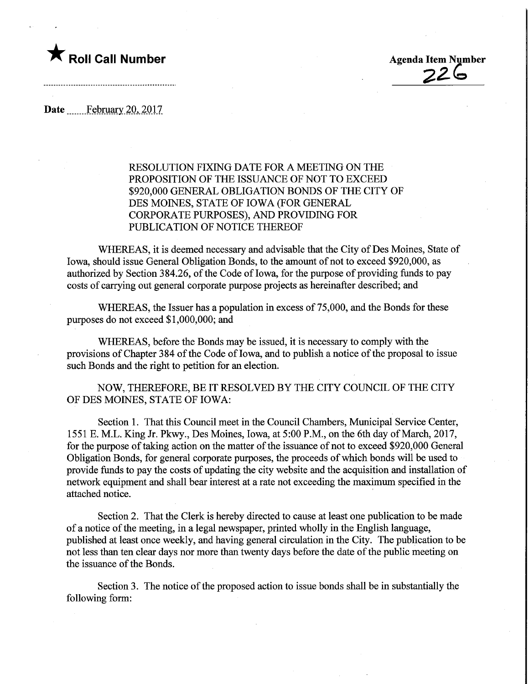

Date February 20, 2017

## RESOLUTION FIXING DATE FOR A MEETING ON THE PROPOSITION OF THE ISSUANCE OF NOT TO EXCEED \$920,000 GENERAL OBLIGATION BONDS OF THE CITY OF DES MOINES, STATE OF IOWA (FOR GENERAL CORPORATE PURPOSES), AND PROVIDING FOR PUBLICATION OF NOTICE THEREOF

WHEREAS, it is deemed necessary and advisable that the City of Des Moines, State of Iowa, should issue General Obligation Bonds, to the amount of not to exceed \$920,000, as authorized by Section 384.26, of the Code of Iowa, for the purpose of providing funds to pay costs of carrying out general corporate purpose projects as hereinafter described; and

WHEREAS, the Issuer has a population in excess of 75,000, and the Bonds for these purposes do not exceed \$1,000,000; and

WHEREAS, before the Bonds may be issued, it is necessary to comply with the provisions of Chapter 384 of the Code of Iowa, and to publish a notice of the proposal to issue such Bonds and the right to petition for an election.

NOW, THEREFORE, BE IT RESOLVED BY THE CITY COUNCIL OF THE CITY OF DES MOINES, STATE OF IOWA:

Section 1. That this Council meet in the Council Chambers, Municipal Service Center, 1551 E. M.L. King Jr. Pkwy., Des Moines, Iowa, at 5:00 P.M., on the 6th day of March, 2017, for the purpose of taking action on the matter of the issuance of not to exceed \$920,000 General Obligation Bonds, for general corporate purposes, the proceeds of which bonds will be used to provide funds to pay the costs of updating the city website and the acquisition and installation of network equipment and shall bear interest at a rate not exceeding the maximum specified in the attached notice.

Section 2. That the Clerk is hereby directed to cause at least one publication to be made of a notice of the meeting, in a legal newspaper, printed wholly in the English language, published at least once weekly, and having general circulation in the City. The publication to be not less than ten clear days nor more than twenty days before the date of the public meeting on the issuance of the Bonds.

Section 3. The notice of the proposed action to issue bonds shall be in substantially the following form: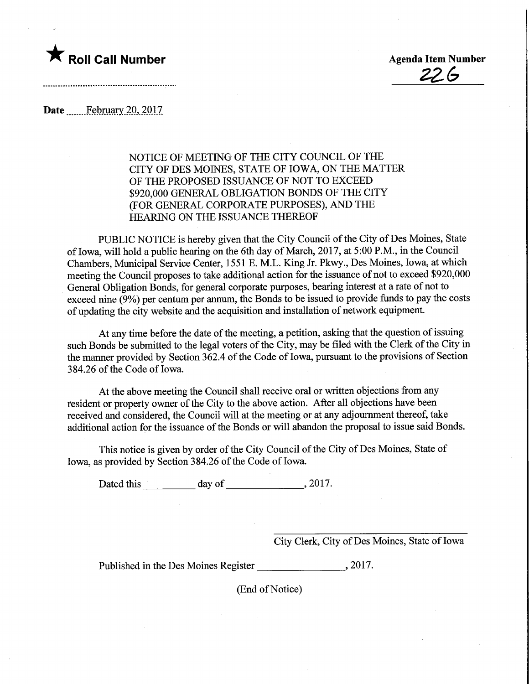

2Z6>

Date February 20, 2017

## NOTICE OF MEETING OF THE CITY COUNCIL OF THE CITY OF DES MOINES, STATE OF IOWA, ON THE MATTER OF THE PROPOSED ISSUANCE OF NOT TO EXCEED \$920,000 GENERAL OBLIGATION BONDS OF THE CITY (FOR GENERAL CORPORATE PURPOSES), AND THE HEARING ON THE ISSUANCE THEREOF

PUBLIC NOTICE is hereby given that the City Council of the City of Des Moines, State of Iowa, will hold a public hearing on the 6th day of March, 2017, at 5:00 P.M., in the Council Chambers, Municipal Service Center, 1551 E. M.L. King Jr. Pkwy., Des Moines, Iowa, at which meeting the Council proposes to take additional action for the issuance of not to exceed \$920,000 General Obligation Bonds, for general corporate purposes, bearing interest at a rate of not to exceed nine (9%) per centum per annum, the Bonds to be issued to provide funds to pay the costs of updating the city website and the acquisition and installation of network equipment.

At any time before the date of the meeting, a petition, asking that the question of issuing such Bonds be submitted to the legal voters of the City, may be filed with the Clerk of the City in the manner provided by Section 362.4 of the Code of Iowa, pursuant to the provisions of Section 384.26 of the Code of Iowa.

At the above meeting the Council shall receive oral or written objections from any resident or property owner of the City to the above action. After all objections have been received and considered, the Council will at the meeting or at any adjournment thereof, take additional action for the issuance of the Bonds or will abandon the proposal to issue said Bonds.

This notice is given by order of the City Council of the City of Des Moines, State of Iowa, as provided by Section 384.26 of the Code of Iowa.

Dated this \_ day of\_,2017.

City Clerk, City of Des Moines, State of Iowa

Published in the Des Moines Register 3017.

(End of Notice)